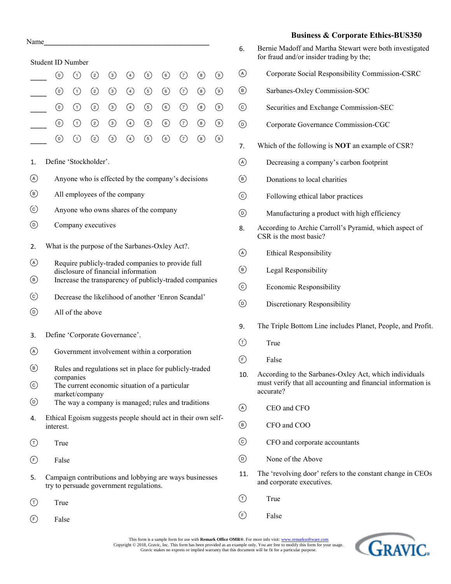|                                     | Name                                                                                               |                                                                                               |               |               |               |                |                               |       |                                   |                                   |  |  |  |
|-------------------------------------|----------------------------------------------------------------------------------------------------|-----------------------------------------------------------------------------------------------|---------------|---------------|---------------|----------------|-------------------------------|-------|-----------------------------------|-----------------------------------|--|--|--|
|                                     | <b>Student ID Number</b>                                                                           |                                                                                               |               |               |               |                |                               |       |                                   |                                   |  |  |  |
|                                     | $\circledcirc$                                                                                     | ⊙                                                                                             | $\circled{c}$ | $\circled{3}$ | $\circled{4}$ | $\circled{5}$  | $\circled{\scriptstyle\circ}$ | ⊙     | $\circled{\scriptstyle 8}$        | $_{\circledcirc}$                 |  |  |  |
|                                     | $\circledcirc$                                                                                     | $\odot$                                                                                       | $\circled{2}$ | $\circled{3}$ | $\circled{4}$ | $\circled{5}$  | $\circledS$                   | (7)   | $\left( \mathbf{\epsilon}\right)$ | ◉                                 |  |  |  |
|                                     | (0)                                                                                                | $\odot$                                                                                       | $\circled{2}$ | $\circled{3}$ | ④             | $\circled{5}$  | $\circled{6}$                 | $(7)$ | $\circled{})$                     | $\circledcirc$                    |  |  |  |
|                                     | $_{\odot}$                                                                                         | $\odot$                                                                                       | $\circled{2}$ | $\odot$       | ④             | $\circledcirc$ | $\odot$                       | ⊙     | $\circled{6}$                     | $_{\textcircled{\scriptsize{9}}}$ |  |  |  |
|                                     | $^{\rm (o)}$                                                                                       | $\circled{1}$                                                                                 | $\circled{2}$ | ⊚             | ④             | $\circledcirc$ | ⊙                             | ⊙     | $\circledast$                     | ◉                                 |  |  |  |
| 1.                                  | Define 'Stockholder'.                                                                              |                                                                                               |               |               |               |                |                               |       |                                   |                                   |  |  |  |
|                                     |                                                                                                    | Anyone who is effected by the company's decisions                                             |               |               |               |                |                               |       |                                   |                                   |  |  |  |
| $\circledast$                       |                                                                                                    | All employees of the company                                                                  |               |               |               |                |                               |       |                                   |                                   |  |  |  |
| ⊙                                   |                                                                                                    | Anyone who owns shares of the company                                                         |               |               |               |                |                               |       |                                   |                                   |  |  |  |
| ◉                                   | Company executives                                                                                 |                                                                                               |               |               |               |                |                               |       |                                   |                                   |  |  |  |
| 2.                                  | What is the purpose of the Sarbanes-Oxley Act?.                                                    |                                                                                               |               |               |               |                |                               |       |                                   |                                   |  |  |  |
| $\circled{A}$                       | Require publicly-traded companies to provide full                                                  |                                                                                               |               |               |               |                |                               |       |                                   |                                   |  |  |  |
| $\circled{\scriptstyle \mathrm{B}}$ |                                                                                                    | disclosure of financial information<br>Increase the transparency of publicly-traded companies |               |               |               |                |                               |       |                                   |                                   |  |  |  |
| $_{\odot}$                          |                                                                                                    | Decrease the likelihood of another 'Enron Scandal'                                            |               |               |               |                |                               |       |                                   |                                   |  |  |  |
| $_{\textcircled{\scriptsize{1}}}$   |                                                                                                    | All of the above                                                                              |               |               |               |                |                               |       |                                   |                                   |  |  |  |
| 3.                                  | Define 'Corporate Governance'.                                                                     |                                                                                               |               |               |               |                |                               |       |                                   |                                   |  |  |  |
| (A)                                 |                                                                                                    | Government involvement within a corporation                                                   |               |               |               |                |                               |       |                                   |                                   |  |  |  |
| $\circled{\scriptstyle\textrm{B}}$  |                                                                                                    | Rules and regulations set in place for publicly-traded                                        |               |               |               |                |                               |       |                                   |                                   |  |  |  |
| (c)                                 |                                                                                                    | companies<br>The current economic situation of a particular                                   |               |               |               |                |                               |       |                                   |                                   |  |  |  |
| (D)                                 | market/company<br>The way a company is managed; rules and traditions                               |                                                                                               |               |               |               |                |                               |       |                                   |                                   |  |  |  |
| 4.                                  | Ethical Egoism suggests people should act in their own self-<br>interest.                          |                                                                                               |               |               |               |                |                               |       |                                   |                                   |  |  |  |
| $(\texttt{t})$                      |                                                                                                    | True                                                                                          |               |               |               |                |                               |       |                                   |                                   |  |  |  |
| (F)                                 | False                                                                                              |                                                                                               |               |               |               |                |                               |       |                                   |                                   |  |  |  |
| 5.                                  | Campaign contributions and lobbying are ways businesses<br>try to persuade government regulations. |                                                                                               |               |               |               |                |                               |       |                                   |                                   |  |  |  |
|                                     |                                                                                                    | True                                                                                          |               |               |               |                |                               |       |                                   |                                   |  |  |  |
| $(\top)$                            |                                                                                                    |                                                                                               |               |               |               |                |                               |       |                                   |                                   |  |  |  |

## **Business & Corporate Ethics-BUS350**

- 6. Bernie Madoff and Martha Stewart were both investigated for fraud and/or insider trading by the; Corporate Social Responsibility Commission-CSRC
- Sarbanes-Oxley Commission-SOC
- Securities and Exchange Commission-SEC
- Corporate Governance Commission-CGC
- 7. Which of the following is **NOT** an example of CSR?
- Decreasing a company's carbon footprint
- Donations to local charities
- Following ethical labor practices
- Manufacturing a product with high efficiency
- 8. According to Archie Carroll's Pyramid, which aspect of CSR is the most basic?
- Ethical Responsibility
- Legal Responsibility
- Economic Responsibility
- Discretionary Responsibility
- 9. The Triple Bottom Line includes Planet, People, and Profit.
- $(T)$  True
- $(F)$  False
- 10. According to the Sarbanes-Oxley Act, which individuals must verify that all accounting and financial information is accurate?
- CEO and CFO
- CFO and COO
- CFO and corporate accountants
- None of the Above
- 11. The 'revolving door' refers to the constant change in CEOs and corporate executives.
- $(T)$  True
- $(F)$  False

This form is a sample form for use with **Remark Office OMR®**. For more info visit: www.remarksoftware.com Copyright © 2018, Gravic, Inc. This form has been provided as an example only. You are free to modify this form for your usage.<br>Gravic makes no express or implied warranty that this document will be fit for a particular pu